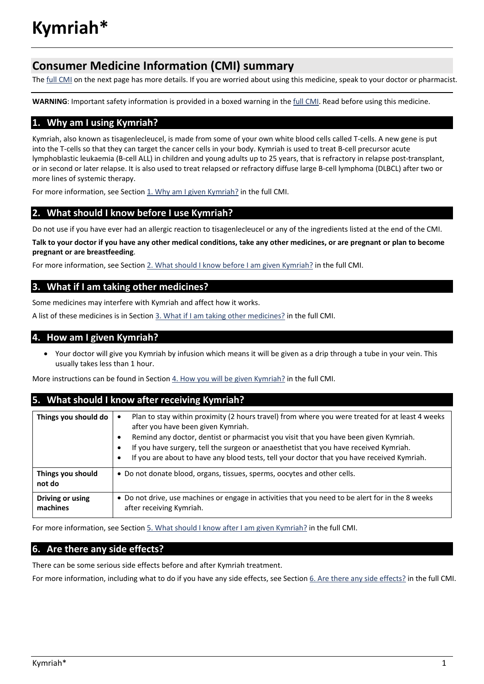# **Consumer Medicine Information (CMI) summary**

The [full CMI](#page-1-0) on the next page has more details. If you are worried about using this medicine, speak to your doctor or pharmacist.

WARNING: Important safety information is provided in a boxed warning in th[e full CMI.](#page-1-0) Read before using this medicine.

# **1. Why am I using Kymriah?**

Kymriah, also known as tisagenlecleucel, is made from some of your own white blood cells called T-cells. A new gene is put into the T-cells so that they can target the cancer cells in your body. Kymriah is used to treat B-cell precursor acute lymphoblastic leukaemia (B-cell ALL) in children and young adults up to 25 years, that is refractory in relapse post-transplant, or in second or later relapse. It is also used to treat relapsed or refractory diffuse large B-cell lymphoma (DLBCL) after two or more lines of systemic therapy.

For more information, see Section 1. Why am I given Kymriah? in the full CMI.

# **2. What should I know before I use Kymriah?**

Do not use if you have ever had an allergic reaction to tisagenlecleucel or any of the ingredients listed at the end of the CMI.

**Talk to your doctor if you have any other medical conditions, take any other medicines, or are pregnant or plan to become pregnant or are breastfeeding**.

For more information, see Sectio[n 2. What should I know before I am given Kymriah?](#page-1-1) in the full CMI.

# **3. What if I am taking other medicines?**

Some medicines may interfere with Kymriah and affect how it works.

A list of these medicines is in Section [3. What if I am taking other medicines?](#page-2-0) in the full CMI.

### **4. How am I given Kymriah?**

• Your doctor will give you Kymriah by infusion which means it will be given as a drip through a tube in your vein. This usually takes less than 1 hour.

More instructions can be found in Section [4. How you will be given](#page-2-1) Kymriah? in the full CMI.

# **5. What should I know after receiving Kymriah?**

| Things you should do         | Plan to stay within proximity (2 hours travel) from where you were treated for at least 4 weeks<br>after you have been given Kymriah.<br>Remind any doctor, dentist or pharmacist you visit that you have been given Kymriah.<br>If you have surgery, tell the surgeon or anaesthetist that you have received Kymriah.<br>о<br>If you are about to have any blood tests, tell your doctor that you have received Kymriah.<br>٠ |
|------------------------------|--------------------------------------------------------------------------------------------------------------------------------------------------------------------------------------------------------------------------------------------------------------------------------------------------------------------------------------------------------------------------------------------------------------------------------|
| Things you should<br>not do  | • Do not donate blood, organs, tissues, sperms, oocytes and other cells.                                                                                                                                                                                                                                                                                                                                                       |
| Driving or using<br>machines | • Do not drive, use machines or engage in activities that you need to be alert for in the 8 weeks<br>after receiving Kymriah.                                                                                                                                                                                                                                                                                                  |

For more information, see Section [5. What should I know after I am given Kymriah?](#page-2-2) in the full CMI.

# **6. Are there any side effects?**

There can be some serious side effects before and after Kymriah treatment.

For more information, including what to do if you have any side effects, see Section [6. Are there any side effects?](#page-3-0) in the full CMI.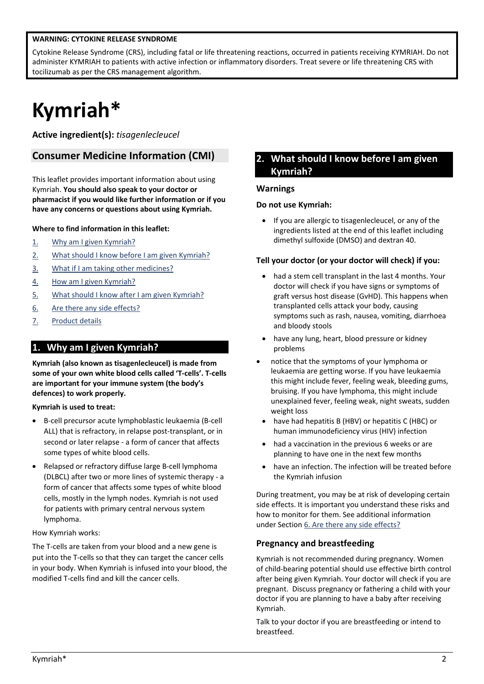#### <span id="page-1-0"></span>**WARNING: CYTOKINE RELEASE SYNDROME**

Cytokine Release Syndrome (CRS), including fatal or life threatening reactions, occurred in patients receiving KYMRIAH. Do not administer KYMRIAH to patients with active infection or inflammatory disorders. Treat severe or life threatening CRS with tocilizumab as per the CRS management algorithm.

# **Kymriah\***

**Active ingredient(s):** *tisagenlecleucel*

# **Consumer Medicine Information (CMI)**

This leaflet provides important information about using Kymriah. **You should also speak to your doctor or pharmacist if you would like further information or if you have any concerns or questions about using Kymriah.**

#### **Where to find information in this leaflet:**

- 1. [Why am I given](#page-1-2) Kymriah?
- 2. [What should I know before I am given](#page-1-1) Kymriah?
- 3. [What if I am taking other medicines?](#page-2-0)
- 4. [How am I given Kymriah?](#page-2-1)
- 5. [What should I know after I am given Kymriah?](#page-2-2)
- 6. [Are there any side effects?](#page-3-0)
- <span id="page-1-2"></span>7. Product details

# **1. Why am I given Kymriah?**

**Kymriah (also known as tisagenlecleucel) is made from some of your own white blood cells called 'T-cells'. T-cells are important for your immune system (the body's defences) to work properly.**

#### **Kymriah is used to treat:**

- B-cell precursor acute lymphoblastic leukaemia (B-cell ALL) that is refractory, in relapse post-transplant, or in second or later relapse - a form of cancer that affects some types of white blood cells.
- Relapsed or refractory diffuse large B-cell lymphoma (DLBCL) after two or more lines of systemic therapy - a form of cancer that affects some types of white blood cells, mostly in the lymph nodes. Kymriah is not used for patients with primary central nervous system lymphoma.

#### How Kymriah works:

The T-cells are taken from your blood and a new gene is put into the T-cells so that they can target the cancer cells in your body. When Kymriah is infused into your blood, the modified T-cells find and kill the cancer cells.

# <span id="page-1-1"></span>**2. What should I know before I am given Kymriah?**

#### **Warnings**

#### **Do not use Kymriah:**

• If you are allergic to tisagenlecleucel, or any of the ingredients listed at the end of this leaflet including dimethyl sulfoxide (DMSO) and dextran 40.

#### **Tell your doctor (or your doctor will check) if you:**

- had a stem cell transplant in the last 4 months. Your doctor will check if you have signs or symptoms of graft versus host disease (GvHD). This happens when transplanted cells attack your body, causing symptoms such as rash, nausea, vomiting, diarrhoea and bloody stools
- have any lung, heart, blood pressure or kidney problems
- notice that the symptoms of your lymphoma or leukaemia are getting worse. If you have leukaemia this might include fever, feeling weak, bleeding gums, bruising. If you have lymphoma, this might include unexplained fever, feeling weak, night sweats, sudden weight loss
	- have had hepatitis B (HBV) or hepatitis C (HBC) or human immunodeficiency virus (HIV) infection
	- had a vaccination in the previous 6 weeks or are planning to have one in the next few months
	- have an infection. The infection will be treated before the Kymriah infusion

During treatment, you may be at risk of developing certain side effects. It is important you understand these risks and how to monitor for them. See additional information under Section [6. Are there any side effects?](#page-3-0)

#### **Pregnancy and breastfeeding**

Kymriah is not recommended during pregnancy. Women of child-bearing potential should use effective birth control after being given Kymriah. Your doctor will check if you are pregnant. Discuss pregnancy or fathering a child with your doctor if you are planning to have a baby after receiving Kymriah.

Talk to your doctor if you are breastfeeding or intend to breastfeed.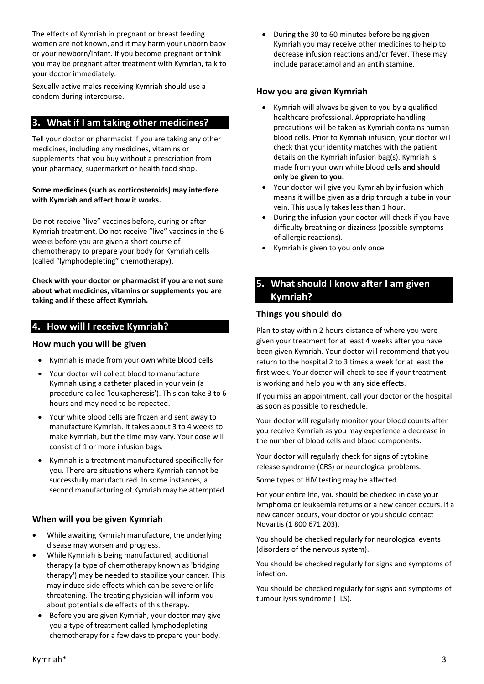The effects of Kymriah in pregnant or breast feeding women are not known, and it may harm your unborn baby or your newborn/infant. If you become pregnant or think you may be pregnant after treatment with Kymriah, talk to your doctor immediately.

Sexually active males receiving Kymriah should use a condom during intercourse.

# <span id="page-2-0"></span>**3. What if I am taking other medicines?**

Tell your doctor or pharmacist if you are taking any other medicines, including any medicines, vitamins or supplements that you buy without a prescription from your pharmacy, supermarket or health food shop.

#### **Some medicines (such as corticosteroids) may interfere with Kymriah and affect how it works.**

Do not receive "live" vaccines before, during or after Kymriah treatment. Do not receive "live" vaccines in the 6 weeks before you are given a short course of chemotherapy to prepare your body for Kymriah cells (called "lymphodepleting" chemotherapy).

**Check with your doctor or pharmacist if you are not sure about what medicines, vitamins or supplements you are taking and if these affect Kymriah.**

# **4. How will I receive Kymriah?**

#### **How much you will be given**

- Kymriah is made from your own white blood cells
- Your doctor will collect blood to manufacture Kymriah using a catheter placed in your vein (a procedure called 'leukapheresis'). This can take 3 to 6 hours and may need to be repeated.
- Your white blood cells are frozen and sent away to manufacture Kymriah. It takes about 3 to 4 weeks to make Kymriah, but the time may vary. Your dose will consist of 1 or more infusion bags.
- Kymriah is a treatment manufactured specifically for you. There are situations where Kymriah cannot be successfully manufactured. In some instances, a second manufacturing of Kymriah may be attempted.

# **When will you be given Kymriah**

- While awaiting Kymriah manufacture, the underlying disease may worsen and progress.
- While Kymriah is being manufactured, additional therapy (a type of chemotherapy known as 'bridging therapy') may be needed to stabilize your cancer. This may induce side effects which can be severe or lifethreatening. The treating physician will inform you about potential side effects of this therapy.
- Before you are given Kymriah, your doctor may give you a type of treatment called lymphodepleting chemotherapy for a few days to prepare your body.

• During the 30 to 60 minutes before being given Kymriah you may receive other medicines to help to decrease infusion reactions and/or fever. These may include paracetamol and an antihistamine.

#### **How you are given Kymriah**

- Kymriah will always be given to you by a qualified healthcare professional. Appropriate handling precautions will be taken as Kymriah contains human blood cells. Prior to Kymriah infusion, your doctor will check that your identity matches with the patient details on the Kymriah infusion bag(s). Kymriah is made from your own white blood cells **and should only be given to you.**
- Your doctor will give you Kymriah by infusion which means it will be given as a drip through a tube in your vein. This usually takes less than 1 hour.
- During the infusion your doctor will check if you have difficulty breathing or dizziness (possible symptoms of allergic reactions).
- Kymriah is given to you only once.

# <span id="page-2-2"></span><span id="page-2-1"></span>**5. What should I know after I am given Kymriah?**

#### **Things you should do**

Plan to stay within 2 hours distance of where you were given your treatment for at least 4 weeks after you have been given Kymriah. Your doctor will recommend that you return to the hospital 2 to 3 times a week for at least the first week. Your doctor will check to see if your treatment is working and help you with any side effects.

If you miss an appointment, call your doctor or the hospital as soon as possible to reschedule.

Your doctor will regularly monitor your blood counts after you receive Kymriah as you may experience a decrease in the number of blood cells and blood components.

Your doctor will regularly check for signs of cytokine release syndrome (CRS) or neurological problems.

Some types of HIV testing may be affected.

For your entire life, you should be checked in case your lymphoma or leukaemia returns or a new cancer occurs. If a new cancer occurs, your doctor or you should contact Novartis (1 800 671 203).

You should be checked regularly for neurological events (disorders of the nervous system).

You should be checked regularly for signs and symptoms of infection.

You should be checked regularly for signs and symptoms of tumour lysis syndrome (TLS).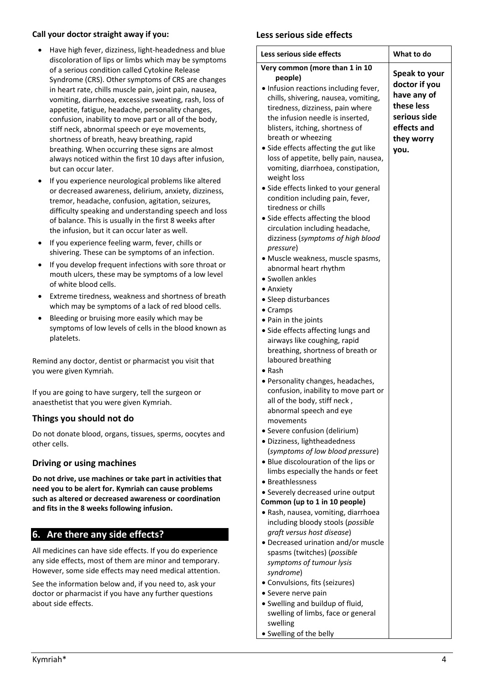#### **Call your doctor straight away if you:**

- Have high fever, dizziness, light-headedness and blue discoloration of lips or limbs which may be symptoms of a serious condition called Cytokine Release Syndrome (CRS). Other symptoms of CRS are changes in heart rate, chills muscle pain, joint pain, nausea, vomiting, diarrhoea, excessive sweating, rash, loss of appetite, fatigue, headache, personality changes, confusion, inability to move part or all of the body, stiff neck, abnormal speech or eye movements, shortness of breath, heavy breathing, rapid breathing. When occurring these signs are almost always noticed within the first 10 days after infusion, but can occur later.
- If you experience neurological problems like altered or decreased awareness, delirium, anxiety, dizziness, tremor, headache, confusion, agitation, seizures, difficulty speaking and understanding speech and loss of balance. This is usually in the first 8 weeks after the infusion, but it can occur later as well.
- If you experience feeling warm, fever, chills or shivering. These can be symptoms of an infection.
- If you develop frequent infections with sore throat or mouth ulcers, these may be symptoms of a low level of white blood cells.
- Extreme tiredness, weakness and shortness of breath which may be symptoms of a lack of red blood cells.
- Bleeding or bruising more easily which may be symptoms of low levels of cells in the blood known as platelets.

Remind any doctor, dentist or pharmacist you visit that you were given Kymriah.

If you are going to have surgery, tell the surgeon or anaesthetist that you were given Kymriah.

# **Things you should not do**

Do not donate blood, organs, tissues, sperms, oocytes and other cells.

#### **Driving or using machines**

**Do not drive, use machines or take part in activities that need you to be alert for. Kymriah can cause problems such as altered or decreased awareness or coordination and fits in the 8 weeks following infusion.**

# <span id="page-3-0"></span>**6. Are there any side effects?**

All medicines can have side effects. If you do experience any side effects, most of them are minor and temporary. However, some side effects may need medical attention.

See the information below and, if you need to, ask your doctor or pharmacist if you have any further questions about side effects.

#### **Less serious side effects**

| Less serious side effects             | What to do    |
|---------------------------------------|---------------|
| Very common (more than 1 in 10        |               |
| people)                               | Speak to your |
| • Infusion reactions including fever, | doctor if you |
| chills, shivering, nausea, vomiting,  | have any of   |
| tiredness, dizziness, pain where      | these less    |
| the infusion needle is inserted,      | serious side  |
| blisters, itching, shortness of       | effects and   |
| breath or wheezing                    | they worry    |
| · Side effects affecting the gut like | you.          |
| loss of appetite, belly pain, nausea, |               |
| vomiting, diarrhoea, constipation,    |               |
| weight loss                           |               |
| • Side effects linked to your general |               |
| condition including pain, fever,      |               |
| tiredness or chills                   |               |
| • Side effects affecting the blood    |               |
| circulation including headache,       |               |
| dizziness (symptoms of high blood     |               |
| pressure)                             |               |
| · Muscle weakness, muscle spasms,     |               |
| abnormal heart rhythm                 |               |
| • Swollen ankles                      |               |
| • Anxiety                             |               |
| • Sleep disturbances                  |               |
| $\bullet$ Cramps                      |               |
| • Pain in the joints                  |               |
| • Side effects affecting lungs and    |               |
| airways like coughing, rapid          |               |
| breathing, shortness of breath or     |               |
| laboured breathing                    |               |
| $\bullet$ Rash                        |               |
| • Personality changes, headaches,     |               |
| confusion, inability to move part or  |               |
| all of the body, stiff neck,          |               |
| abnormal speech and eye               |               |
| movements                             |               |
| · Severe confusion (delirium)         |               |
| · Dizziness, lightheadedness          |               |
| (symptoms of low blood pressure)      |               |
| • Blue discolouration of the lips or  |               |
| limbs especially the hands or feet    |               |
| • Breathlessness                      |               |
| • Severely decreased urine output     |               |
| Common (up to 1 in 10 people)         |               |
| · Rash, nausea, vomiting, diarrhoea   |               |
| including bloody stools (possible     |               |
| graft versus host disease)            |               |
| • Decreased urination and/or muscle   |               |
| spasms (twitches) (possible           |               |
| symptoms of tumour lysis              |               |
| syndrome)                             |               |
| • Convulsions, fits (seizures)        |               |
| • Severe nerve pain                   |               |
| • Swelling and buildup of fluid,      |               |
| swelling of limbs, face or general    |               |
| swelling                              |               |
| • Swelling of the belly               |               |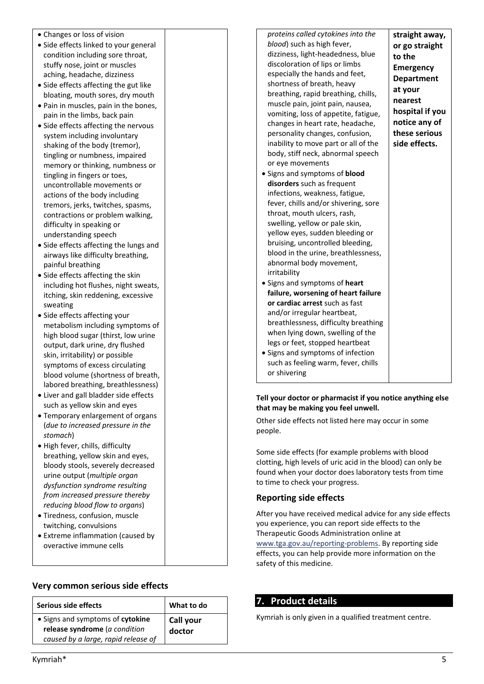| • Changes or loss of vision                                         |  | proteins called cytokines into the                           | straight away,    |
|---------------------------------------------------------------------|--|--------------------------------------------------------------|-------------------|
| • Side effects linked to your general                               |  | blood) such as high fever,                                   | or go straight    |
| condition including sore throat,                                    |  | dizziness, light-headedness, blue                            | to the            |
| stuffy nose, joint or muscles                                       |  | discoloration of lips or limbs                               | Emergency         |
| aching, headache, dizziness                                         |  | especially the hands and feet,                               | <b>Department</b> |
| • Side effects affecting the gut like                               |  | shortness of breath, heavy                                   | at your           |
| bloating, mouth sores, dry mouth                                    |  | breathing, rapid breathing, chills,                          |                   |
| • Pain in muscles, pain in the bones,                               |  | muscle pain, joint pain, nausea,                             | nearest           |
| pain in the limbs, back pain                                        |  | vomiting, loss of appetite, fatigue,                         | hospital if you   |
| • Side effects affecting the nervous                                |  | changes in heart rate, headache,                             | notice any of     |
| system including involuntary                                        |  | personality changes, confusion,                              | these serious     |
| shaking of the body (tremor),                                       |  | inability to move part or all of the                         | side effects.     |
| tingling or numbness, impaired                                      |  | body, stiff neck, abnormal speech                            |                   |
| memory or thinking, numbness or                                     |  | or eye movements                                             |                   |
| tingling in fingers or toes,                                        |  | • Signs and symptoms of blood                                |                   |
| uncontrollable movements or                                         |  | disorders such as frequent                                   |                   |
| actions of the body including                                       |  | infections, weakness, fatigue,                               |                   |
| tremors, jerks, twitches, spasms,                                   |  | fever, chills and/or shivering, sore                         |                   |
| contractions or problem walking,                                    |  | throat, mouth ulcers, rash,                                  |                   |
| difficulty in speaking or                                           |  | swelling, yellow or pale skin,                               |                   |
| understanding speech                                                |  | yellow eyes, sudden bleeding or                              |                   |
| • Side effects affecting the lungs and                              |  | bruising, uncontrolled bleeding,                             |                   |
| airways like difficulty breathing,                                  |  | blood in the urine, breathlessness,                          |                   |
| painful breathing                                                   |  | abnormal body movement,                                      |                   |
|                                                                     |  | irritability                                                 |                   |
| • Side effects affecting the skin                                   |  | • Signs and symptoms of heart                                |                   |
| including hot flushes, night sweats,                                |  | failure, worsening of heart failure                          |                   |
| itching, skin reddening, excessive                                  |  | or cardiac arrest such as fast                               |                   |
| sweating                                                            |  | and/or irregular heartbeat,                                  |                   |
| • Side effects affecting your                                       |  | breathlessness, difficulty breathing                         |                   |
| metabolism including symptoms of                                    |  | when lying down, swelling of the                             |                   |
| high blood sugar (thirst, low urine                                 |  | legs or feet, stopped heartbeat                              |                   |
| output, dark urine, dry flushed                                     |  | • Signs and symptoms of infection                            |                   |
| skin, irritability) or possible                                     |  | such as feeling warm, fever, chills                          |                   |
| symptoms of excess circulating                                      |  |                                                              |                   |
| blood volume (shortness of breath,                                  |  | or shivering                                                 |                   |
| labored breathing, breathlessness)                                  |  |                                                              |                   |
| • Liver and gall bladder side effects                               |  | Tell your doctor or pharmacist if you notice anything else   |                   |
| such as yellow skin and eyes<br>that may be making you feel unwell. |  |                                                              |                   |
| • Temporary enlargement of organs                                   |  | Other side effects not listed here may occur in some         |                   |
| (due to increased pressure in the                                   |  | people.                                                      |                   |
| stomach)                                                            |  |                                                              |                   |
| · High fever, chills, difficulty                                    |  |                                                              |                   |
| breathing, yellow skin and eyes,                                    |  | Some side effects (for example problems with blood           |                   |
| bloody stools, severely decreased                                   |  | clotting, high levels of uric acid in the blood) can only be |                   |
| urine output (multiple organ                                        |  | found when your doctor does laboratory tests from time       |                   |
| dysfunction syndrome resulting                                      |  | to time to check your progress.                              |                   |
| from increased pressure thereby                                     |  | <b>Reporting side effects</b>                                |                   |
| reducing blood flow to organs)                                      |  |                                                              |                   |
| · Tiredness, confusion, muscle                                      |  | After you have received medical advice for any side effects  |                   |
| twitching, convulsions                                              |  | you experience, you can report side effects to the           |                   |
| • Extreme inflammation (caused by                                   |  | Therapeutic Goods Administration online at                   |                   |
| overactive immune cells                                             |  | www.tga.gov.au/reporting-problems. By reporting side         |                   |
|                                                                     |  | effects, you can help provide more information on the        |                   |

safety of this medicine.

**7. Product details**

Kymriah is only given in a qualified treatment centre.

# **Very common serious side effects**

| Serious side effects                                                                                        | What to do          |
|-------------------------------------------------------------------------------------------------------------|---------------------|
| • Signs and symptoms of cytokine<br>release syndrome ( $a$ condition<br>caused by a large, rapid release of | Call your<br>doctor |